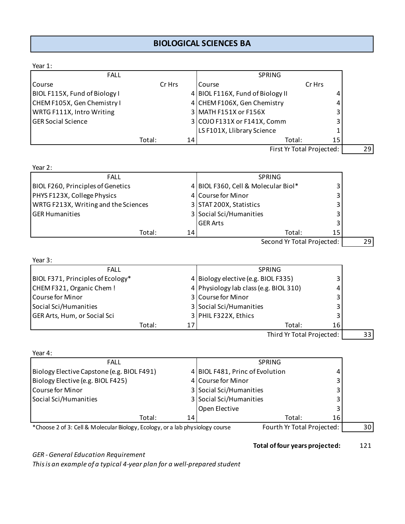## **BIOLOGICAL SCIENCES BA**

| Year 1:                                                                       |        |    |                                        |                           |    |
|-------------------------------------------------------------------------------|--------|----|----------------------------------------|---------------------------|----|
| <b>FALL</b>                                                                   |        |    | SPRING                                 |                           |    |
| Course                                                                        | Cr Hrs |    | Course                                 | Cr Hrs                    |    |
| BIOL F115X, Fund of Biology I                                                 |        |    | 4 BIOL F116X, Fund of Biology II       | 4                         |    |
| CHEM F105X, Gen Chemistry I                                                   |        |    | 4 CHEM F106X, Gen Chemistry            | 4                         |    |
| WRTG F111X, Intro Writing                                                     |        |    | 3 MATH F151X or F156X                  | 3                         |    |
| <b>GER Social Science</b>                                                     |        |    | 3 COJO F131X or F141X, Comm            | 3                         |    |
|                                                                               |        |    | LS F101X, Llibrary Science             | 1                         |    |
|                                                                               | Total: | 14 | Total:                                 | 15                        |    |
|                                                                               |        |    |                                        | First Yr Total Projected: | 29 |
| Year 2:                                                                       |        |    |                                        |                           |    |
| <b>FALL</b>                                                                   |        |    | <b>SPRING</b>                          |                           |    |
| <b>BIOL F260, Principles of Genetics</b>                                      |        |    | 4 BIOL F360, Cell & Molecular Biol*    | 3                         |    |
| PHYS F123X, College Physics                                                   |        |    | 4 Course for Minor                     | 3                         |    |
| WRTG F213X, Writing and the Sciences                                          |        |    | 3 STAT 200X, Statistics                | 3                         |    |
| <b>GER Humanities</b>                                                         |        |    | 3 Social Sci/Humanities                | 3                         |    |
|                                                                               |        |    | <b>GER Arts</b>                        | 3                         |    |
|                                                                               | Total: | 14 | Total:                                 | 15                        |    |
|                                                                               |        |    | Second Yr Total Projected:             |                           | 29 |
| Year 3:                                                                       |        |    |                                        |                           |    |
| <b>FALL</b>                                                                   |        |    | SPRING                                 |                           |    |
| BIOL F371, Principles of Ecology*                                             |        |    | 4 Biology elective (e.g. BIOL F335)    | 3                         |    |
| CHEM F321, Organic Chem!                                                      |        |    | 4 Physiology lab class (e.g. BIOL 310) |                           |    |
| Course for Minor                                                              |        |    | 3 Course for Minor                     | 3                         |    |
| Social Sci/Humanities                                                         |        |    | 3 Social Sci/Humanities                | 3                         |    |
| GER Arts, Hum, or Social Sci                                                  |        |    | 3 PHIL F322X, Ethics                   |                           |    |
|                                                                               | Total: | 17 | Total:                                 | 16                        |    |
|                                                                               |        |    | Third Yr Total Projected:              |                           | 33 |
| Year 4:                                                                       |        |    |                                        |                           |    |
| <b>FALL</b>                                                                   |        |    | <b>SPRING</b>                          |                           |    |
| Biology Elective Capstone (e.g. BIOL F491)                                    |        |    | 4 BIOL F481, Princ of Evolution        | 4                         |    |
| Biology Elective (e.g. BIOL F425)                                             |        |    | 4 Course for Minor                     | 3                         |    |
| Course for Minor                                                              |        |    | 3 Social Sci/Humanities                | 3                         |    |
| Social Sci/Humanities                                                         |        |    | 3 Social Sci/Humanities                | 3                         |    |
|                                                                               |        |    | Open Elective                          | 3                         |    |
|                                                                               | Total: | 14 | Total:                                 | 16                        |    |
| *Choose 2 of 3: Cell & Molecular Biology, Ecology, or a lab physiology course |        |    | Fourth Yr Total Projected:             |                           | 30 |

**Total of four years projected:** 121

*GER - General Education Requirement*

*This is an example of a typical 4-year plan for a well-prepared student*